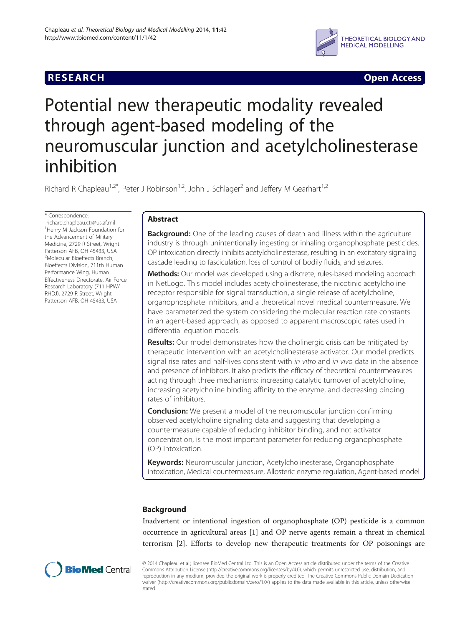

**RESEARCH CHINESE ARCH CHINESE ARCH CHINESE ARCH** 

# Potential new therapeutic modality revealed through agent-based modeling of the neuromuscular junction and acetylcholinesterase inhibition

Richard R Chapleau<sup>1,2\*</sup>, Peter J Robinson<sup>1,2</sup>, John J Schlager<sup>2</sup> and Jeffery M Gearhart<sup>1,2</sup>

\* Correspondence: [richard.chapleau.ctr@us.af.mil](mailto:richard.chapleau.ctr@us.af.mil) <sup>1</sup>Henry M Jackson Foundation for the Advancement of Military Medicine, 2729 R Street, Wright Patterson AFB, OH 45433, USA <sup>2</sup>Molecular Bioeffects Branch, Bioeffects Division, 711th Human Performance Wing, Human Effectiveness Directorate, Air Force Research Laboratory (711 HPW/ RHDJ), 2729 R Street, Wright Patterson AFB, OH 45433, USA

# Abstract

**Background:** One of the leading causes of death and illness within the agriculture industry is through unintentionally ingesting or inhaling organophosphate pesticides. OP intoxication directly inhibits acetylcholinesterase, resulting in an excitatory signaling cascade leading to fasciculation, loss of control of bodily fluids, and seizures.

Methods: Our model was developed using a discrete, rules-based modeling approach in NetLogo. This model includes acetylcholinesterase, the nicotinic acetylcholine receptor responsible for signal transduction, a single release of acetylcholine, organophosphate inhibitors, and a theoretical novel medical countermeasure. We have parameterized the system considering the molecular reaction rate constants in an agent-based approach, as opposed to apparent macroscopic rates used in differential equation models.

**Results:** Our model demonstrates how the cholinergic crisis can be mitigated by therapeutic intervention with an acetylcholinesterase activator. Our model predicts signal rise rates and half-lives consistent with in vitro and in vivo data in the absence and presence of inhibitors. It also predicts the efficacy of theoretical countermeasures acting through three mechanisms: increasing catalytic turnover of acetylcholine, increasing acetylcholine binding affinity to the enzyme, and decreasing binding rates of inhibitors.

**Conclusion:** We present a model of the neuromuscular junction confirming observed acetylcholine signaling data and suggesting that developing a countermeasure capable of reducing inhibitor binding, and not activator concentration, is the most important parameter for reducing organophosphate (OP) intoxication.

Keywords: Neuromuscular junction, Acetylcholinesterase, Organophosphate intoxication, Medical countermeasure, Allosteric enzyme regulation, Agent-based model

# Background

Inadvertent or intentional ingestion of organophosphate (OP) pesticide is a common occurrence in agricultural areas [\[1](#page-7-0)] and OP nerve agents remain a threat in chemical terrorism [[2\]](#page-7-0). Efforts to develop new therapeutic treatments for OP poisonings are



© 2014 Chapleau et al.; licensee BioMed Central Ltd. This is an Open Access article distributed under the terms of the Creative Commons Attribution License [\(http://creativecommons.org/licenses/by/4.0\)](http://creativecommons.org/licenses/by/4.0), which permits unrestricted use, distribution, and reproduction in any medium, provided the original work is properly credited. The Creative Commons Public Domain Dedication waiver [\(http://creativecommons.org/publicdomain/zero/1.0/\)](http://creativecommons.org/publicdomain/zero/1.0/) applies to the data made available in this article, unless otherwise stated.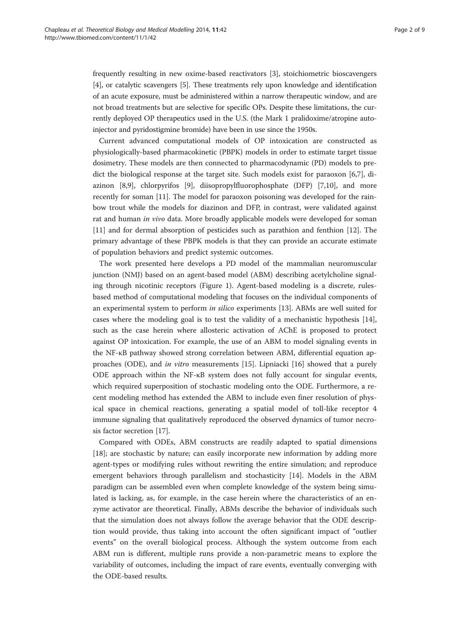frequently resulting in new oxime-based reactivators [[3\]](#page-7-0), stoichiometric bioscavengers [[4\]](#page-7-0), or catalytic scavengers [\[5](#page-7-0)]. These treatments rely upon knowledge and identification of an acute exposure, must be administered within a narrow therapeutic window, and are not broad treatments but are selective for specific OPs. Despite these limitations, the currently deployed OP therapeutics used in the U.S. (the Mark 1 pralidoxime/atropine autoinjector and pyridostigmine bromide) have been in use since the 1950s.

Current advanced computational models of OP intoxication are constructed as physiologically-based pharmacokinetic (PBPK) models in order to estimate target tissue dosimetry. These models are then connected to pharmacodynamic (PD) models to predict the biological response at the target site. Such models exist for paraoxon [[6,7\]](#page-7-0), diazinon [[8](#page-7-0),[9\]](#page-7-0), chlorpyrifos [[9\]](#page-7-0), diisopropylfluorophosphate (DFP) [[7,10\]](#page-7-0), and more recently for soman [[11\]](#page-7-0). The model for paraoxon poisoning was developed for the rainbow trout while the models for diazinon and DFP, in contrast, were validated against rat and human in vivo data. More broadly applicable models were developed for soman [[11\]](#page-7-0) and for dermal absorption of pesticides such as parathion and fenthion [[12](#page-7-0)]. The primary advantage of these PBPK models is that they can provide an accurate estimate of population behaviors and predict systemic outcomes.

The work presented here develops a PD model of the mammalian neuromuscular junction (NMJ) based on an agent-based model (ABM) describing acetylcholine signaling through nicotinic receptors (Figure [1\)](#page-2-0). Agent-based modeling is a discrete, rulesbased method of computational modeling that focuses on the individual components of an experimental system to perform in silico experiments [\[13](#page-7-0)]. ABMs are well suited for cases where the modeling goal is to test the validity of a mechanistic hypothesis [[14](#page-7-0)], such as the case herein where allosteric activation of AChE is proposed to protect against OP intoxication. For example, the use of an ABM to model signaling events in the NF-κB pathway showed strong correlation between ABM, differential equation approaches (ODE), and in vitro measurements [[15](#page-7-0)]. Lipniacki [[16\]](#page-7-0) showed that a purely ODE approach within the NF-κB system does not fully account for singular events, which required superposition of stochastic modeling onto the ODE. Furthermore, a recent modeling method has extended the ABM to include even finer resolution of physical space in chemical reactions, generating a spatial model of toll-like receptor 4 immune signaling that qualitatively reproduced the observed dynamics of tumor necrosis factor secretion [\[17](#page-7-0)].

Compared with ODEs, ABM constructs are readily adapted to spatial dimensions [[18\]](#page-7-0); are stochastic by nature; can easily incorporate new information by adding more agent-types or modifying rules without rewriting the entire simulation; and reproduce emergent behaviors through parallelism and stochasticity [[14\]](#page-7-0). Models in the ABM paradigm can be assembled even when complete knowledge of the system being simulated is lacking, as, for example, in the case herein where the characteristics of an enzyme activator are theoretical. Finally, ABMs describe the behavior of individuals such that the simulation does not always follow the average behavior that the ODE description would provide, thus taking into account the often significant impact of "outlier events" on the overall biological process. Although the system outcome from each ABM run is different, multiple runs provide a non-parametric means to explore the variability of outcomes, including the impact of rare events, eventually converging with the ODE-based results.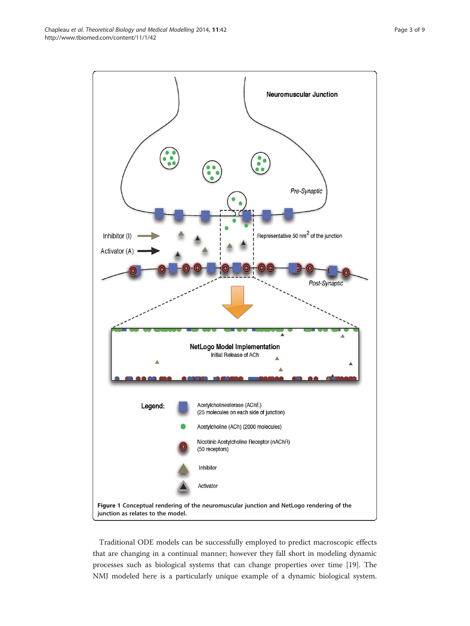<span id="page-2-0"></span>

Traditional ODE models can be successfully employed to predict macroscopic effects that are changing in a continual manner; however they fall short in modeling dynamic processes such as biological systems that can change properties over time [[19\]](#page-8-0). The NMJ modeled here is a particularly unique example of a dynamic biological system.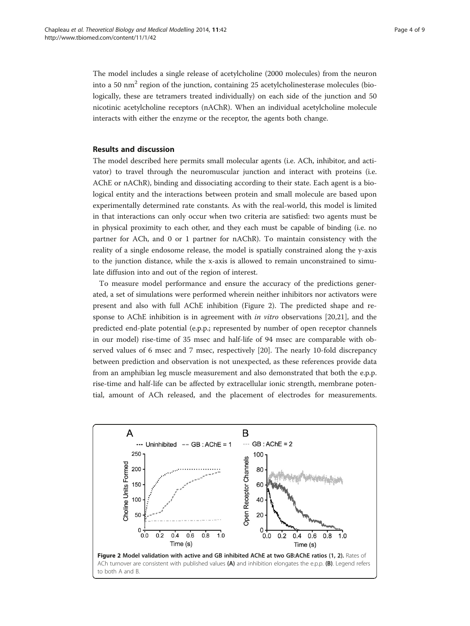<span id="page-3-0"></span>The model includes a single release of acetylcholine (2000 molecules) from the neuron into a 50  $\text{nm}^2$  region of the junction, containing 25 acetylcholinesterase molecules (biologically, these are tetramers treated individually) on each side of the junction and 50 nicotinic acetylcholine receptors (nAChR). When an individual acetylcholine molecule interacts with either the enzyme or the receptor, the agents both change.

# Results and discussion

The model described here permits small molecular agents (i.e. ACh, inhibitor, and activator) to travel through the neuromuscular junction and interact with proteins (i.e. AChE or nAChR), binding and dissociating according to their state. Each agent is a biological entity and the interactions between protein and small molecule are based upon experimentally determined rate constants. As with the real-world, this model is limited in that interactions can only occur when two criteria are satisfied: two agents must be in physical proximity to each other, and they each must be capable of binding (i.e. no partner for ACh, and 0 or 1 partner for nAChR). To maintain consistency with the reality of a single endosome release, the model is spatially constrained along the y-axis to the junction distance, while the x-axis is allowed to remain unconstrained to simulate diffusion into and out of the region of interest.

To measure model performance and ensure the accuracy of the predictions generated, a set of simulations were performed wherein neither inhibitors nor activators were present and also with full AChE inhibition (Figure 2). The predicted shape and response to AChE inhibition is in agreement with *in vitro* observations  $[20,21]$ , and the predicted end-plate potential (e.p.p.; represented by number of open receptor channels in our model) rise-time of 35 msec and half-life of 94 msec are comparable with observed values of 6 msec and 7 msec, respectively [[20](#page-8-0)]. The nearly 10-fold discrepancy between prediction and observation is not unexpected, as these references provide data from an amphibian leg muscle measurement and also demonstrated that both the e.p.p. rise-time and half-life can be affected by extracellular ionic strength, membrane potential, amount of ACh released, and the placement of electrodes for measurements.

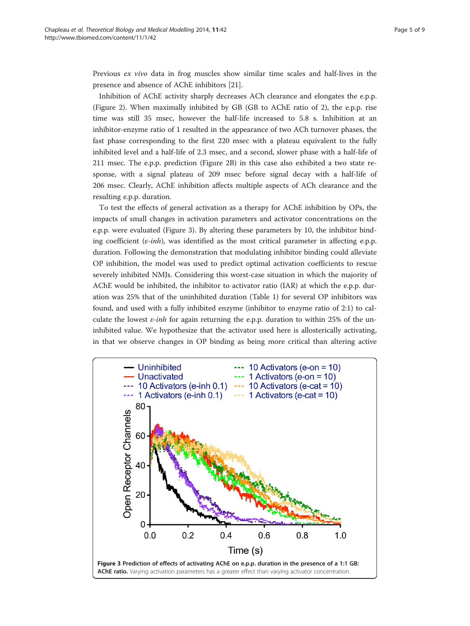Previous ex vivo data in frog muscles show similar time scales and half-lives in the presence and absence of AChE inhibitors [[21](#page-8-0)].

Inhibition of AChE activity sharply decreases ACh clearance and elongates the e.p.p. (Figure [2\)](#page-3-0). When maximally inhibited by GB (GB to AChE ratio of 2), the e.p.p. rise time was still 35 msec, however the half-life increased to 5.8 s. Inhibition at an inhibitor-enzyme ratio of 1 resulted in the appearance of two ACh turnover phases, the fast phase corresponding to the first 220 msec with a plateau equivalent to the fully inhibited level and a half-life of 2.3 msec, and a second, slower phase with a half-life of 211 msec. The e.p.p. prediction (Figure [2](#page-3-0)B) in this case also exhibited a two state response, with a signal plateau of 209 msec before signal decay with a half-life of 206 msec. Clearly, AChE inhibition affects multiple aspects of ACh clearance and the resulting e.p.p. duration.

To test the effects of general activation as a therapy for AChE inhibition by OPs, the impacts of small changes in activation parameters and activator concentrations on the e.p.p. were evaluated (Figure 3). By altering these parameters by 10, the inhibitor binding coefficient  $(\varepsilon\text{-}inh)$ , was identified as the most critical parameter in affecting e.p.p. duration. Following the demonstration that modulating inhibitor binding could alleviate OP inhibition, the model was used to predict optimal activation coefficients to rescue severely inhibited NMJs. Considering this worst-case situation in which the majority of AChE would be inhibited, the inhibitor to activator ratio (IAR) at which the e.p.p. duration was 25% that of the uninhibited duration (Table [1](#page-5-0)) for several OP inhibitors was found, and used with a fully inhibited enzyme (inhibitor to enzyme ratio of 2:1) to calculate the lowest  $\varepsilon$ -inh for again returning the e.p.p. duration to within 25% of the uninhibited value. We hypothesize that the activator used here is allosterically activating, in that we observe changes in OP binding as being more critical than altering active

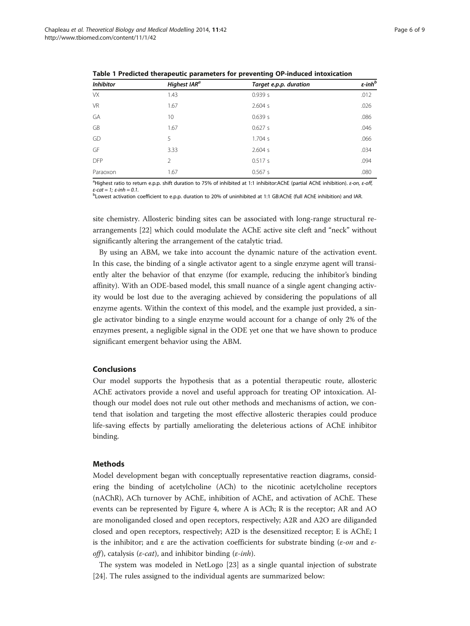| <b>Inhibitor</b> | Highest IAR <sup>a</sup> | Target e.p.p. duration | $\varepsilon$ -inh $^b$<br>.012 |  |
|------------------|--------------------------|------------------------|---------------------------------|--|
| <b>VX</b>        | 1.43                     | 0.939 s                |                                 |  |
| <b>VR</b>        | 1.67                     | 2.604 s                | .026                            |  |
| GA               | 10                       | 0.639 s                | .086<br>.046<br>.066<br>.034    |  |
| GB               | 1.67                     | 0.627s<br>1.704 s      |                                 |  |
| GD               | 5<br>3.33                |                        |                                 |  |
| GF               |                          | 2.604 s                |                                 |  |
| <b>DFP</b>       | 2                        | 0.517 s                | .094                            |  |
| Paraoxon         | 1.67                     | 0.567s                 | .080                            |  |

<span id="page-5-0"></span>Table 1 Predicted therapeutic parameters for preventing OP-induced intoxication

aHighest ratio to return e.p.p. shift duration to 75% of inhibited at 1:1 inhibitor:AChE (partial AChE inhibition). ε-on, ε-off,  $\epsilon$ -cat = 1;  $\epsilon$ -inh = 0.1.

<sup>b</sup>Lowest activation coefficient to e.p.p. duration to 20% of uninhibited at 1:1 GB:AChE (full AChE inhibition) and IAR.

site chemistry. Allosteric binding sites can be associated with long-range structural rearrangements [[22\]](#page-8-0) which could modulate the AChE active site cleft and "neck" without significantly altering the arrangement of the catalytic triad.

By using an ABM, we take into account the dynamic nature of the activation event. In this case, the binding of a single activator agent to a single enzyme agent will transiently alter the behavior of that enzyme (for example, reducing the inhibitor's binding affinity). With an ODE-based model, this small nuance of a single agent changing activity would be lost due to the averaging achieved by considering the populations of all enzyme agents. Within the context of this model, and the example just provided, a single activator binding to a single enzyme would account for a change of only 2% of the enzymes present, a negligible signal in the ODE yet one that we have shown to produce significant emergent behavior using the ABM.

### Conclusions

Our model supports the hypothesis that as a potential therapeutic route, allosteric AChE activators provide a novel and useful approach for treating OP intoxication. Although our model does not rule out other methods and mechanisms of action, we contend that isolation and targeting the most effective allosteric therapies could produce life-saving effects by partially ameliorating the deleterious actions of AChE inhibitor binding.

#### Methods

Model development began with conceptually representative reaction diagrams, considering the binding of acetylcholine (ACh) to the nicotinic acetylcholine receptors (nAChR), ACh turnover by AChE, inhibition of AChE, and activation of AChE. These events can be represented by Figure [4](#page-6-0), where A is ACh; R is the receptor; AR and AO are monoliganded closed and open receptors, respectively; A2R and A2O are diliganded closed and open receptors, respectively; A2D is the desensitized receptor; E is AChE; I is the inhibitor; and  $\varepsilon$  are the activation coefficients for substrate binding ( $\varepsilon$ -on and  $\varepsilon$ off), catalysis ( $\varepsilon$ -cat), and inhibitor binding ( $\varepsilon$ -inh).

The system was modeled in NetLogo [[23\]](#page-8-0) as a single quantal injection of substrate [[24\]](#page-8-0). The rules assigned to the individual agents are summarized below: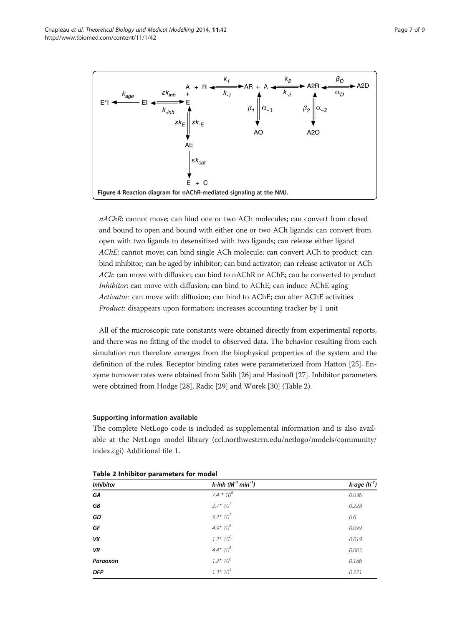<span id="page-6-0"></span>

 $nAChR$ : cannot move; can bind one or two ACh molecules; can convert from closed and bound to open and bound with either one or two ACh ligands; can convert from open with two ligands to desensitized with two ligands; can release either ligand AChE: cannot move; can bind single ACh molecule; can convert ACh to product; can bind inhibitor; can be aged by inhibitor; can bind activator; can release activator or ACh ACh: can move with diffusion; can bind to nAChR or AChE; can be converted to product Inhibitor: can move with diffusion; can bind to AChE; can induce AChE aging Activator: can move with diffusion; can bind to AChE; can alter AChE activities Product: disappears upon formation; increases accounting tracker by 1 unit

All of the microscopic rate constants were obtained directly from experimental reports, and there was no fitting of the model to observed data. The behavior resulting from each simulation run therefore emerges from the biophysical properties of the system and the definition of the rules. Receptor binding rates were parameterized from Hatton [\[25\]](#page-8-0). Enzyme turnover rates were obtained from Salih [[26](#page-8-0)] and Hasinoff [[27](#page-8-0)]. Inhibitor parameters were obtained from Hodge [\[28\]](#page-8-0), Radic [\[29\]](#page-8-0) and Worek [\[30](#page-8-0)] (Table 2).

## Supporting information available

The complete NetLogo code is included as supplemental information and is also available at the NetLogo model library ([ccl.northwestern.edu/netlogo/models/community/](ccl.northwestern.edu/netlogo/models/community/index.cgi) [index.cgi\)](ccl.northwestern.edu/netlogo/models/community/index.cgi) Additional file [1](#page-7-0).

| <b>Inhibitor</b> | k-inh $(M-1 min-1)$ | k-age $(h^{-1})$ |
|------------------|---------------------|------------------|
| GA               | 7.4 $*10^6$         | 0.036            |
| GB               | $2.7*10^{7}$        | 0.228            |
| GD               | $9.2*10^7$          | 6.6              |
| GF               | $4.9*10^{8}$        | 0.099            |
| VX               | $1.2*10^{8}$        | 0.019            |
| <b>VR</b>        | $4.4*10^{8}$        | 0.005            |
| Paraoxon         | $1.2*10^{6}$        | 0.186            |
| <b>DFP</b>       | $1.3*10^{5}$        | 0.221            |

|  |  |  | Table 2 Inhibitor parameters for model |  |  |
|--|--|--|----------------------------------------|--|--|
|--|--|--|----------------------------------------|--|--|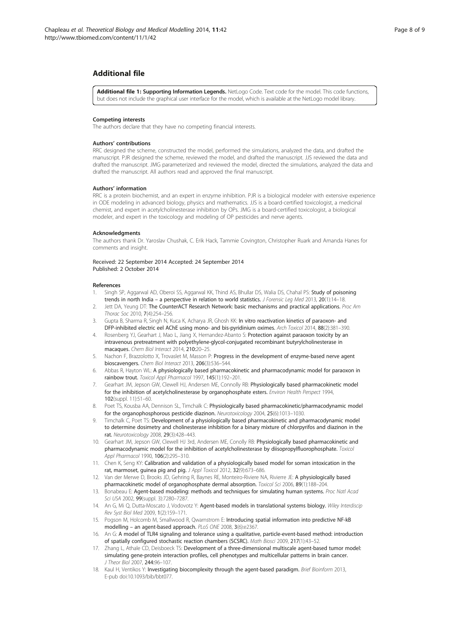# <span id="page-7-0"></span>Additional file

[Additional file 1:](http://www.biomedcentral.com/content/supplementary/1742-4682-11-42-S1.docx) Supporting Information Legends. NetLogo Code. Text code for the model. This code functions, but does not include the graphical user interface for the model, which is available at the NetLogo model library.

#### Competing interests

The authors declare that they have no competing financial interests.

#### Authors' contributions

RRC designed the scheme, constructed the model, performed the simulations, analyzed the data, and drafted the manuscript. PJR designed the scheme, reviewed the model, and drafted the manuscript. JJS reviewed the data and drafted the manuscript. JMG parameterized and reviewed the model, directed the simulations, analyzed the data and drafted the manuscript. All authors read and approved the final manuscript.

#### Authors' information

RRC is a protein biochemist, and an expert in enzyme inhibition. PJR is a biological modeler with extensive experience in ODE modeling in advanced biology, physics and mathematics. JJS is a board-certified toxicologist, a medicinal chemist, and expert in acetylcholinesterase inhibition by OPs. JMG is a board-certified toxicologist, a biological modeler, and expert in the toxicology and modeling of OP pesticides and nerve agents.

#### Acknowledgments

The authors thank Dr. Yaroslav Chushak, C. Erik Hack, Tammie Covington, Christopher Ruark and Amanda Hanes for comments and insight.

#### Received: 22 September 2014 Accepted: 24 September 2014 Published: 2 October 2014

#### References

- 1. Singh SP, Aggarwal AD, Oberoi SS, Aggarwal KK, Thind AS, Bhullar DS, Walia DS, Chahal PS: Study of poisoning trends in north India – a perspective in relation to world statistics. *J Forensic Lea Med* 2013, 20(1):14–18.
- Jett DA, Yeung DT: The CounterACT Research Network: basic mechanisms and practical applications. Proc Am Thorac Soc 2010, 7(4):254–256.
- 3. Gupta B, Sharma R, Singh N, Kuca K, Acharya JR, Ghosh KK: In vitro reactivation kinetics of paraoxon- and DFP-inhibited electric eel AChE using mono- and bis-pyridinium oximes. Arch Toxicol 2014, 88(2):381–390.
- 4. Rosenberg YJ, Gearhart J, Mao L, Jiang X, Hernandez-Abanto S: Protection against paraoxon toxicity by an intravenous pretreatment with polyethylene-glycol-conjugated recombinant butyrylcholinesterase in macaques. Chem Biol Interact 2014, 210:20-25.
- 5. Nachon F, Brazzolotto X, Trovaslet M, Masson P: Progress in the development of enzyme-based nerve agent bioscavengers. Chem Biol Interact 2013, 206(3):536–544.
- 6. Abbas R, Hayton WL: A physiologically based pharmacokinetic and pharmacodynamic model for paraoxon in rainbow trout. Toxicol Appl Pharmacol 1997, 145(1):192–201.
- 7. Gearhart JM, Jepson GW, Clewell HJ, Andersen ME, Connolly RB: Physiologically based pharmacokinetic model for the inhibition of acetylcholinesterase by organophosphate esters. Environ Health Perspect 1994, 102(suppl. 11):51–60.
- 8. Poet TS, Kousba AA, Dennison SL, Timchalk C: Physiologically based pharmacokinetic/pharmacodynamic model for the organophosphorous pesticide diazinon. Neurotoxicology 2004, 25(6):1013–1030.
- Timchalk C, Poet TS: Development of a physiologically based pharmacokinetic and pharmacodynamic model to determine dosimetry and cholinesterase inhibition for a binary mixture of chlorpyrifos and diazinon in the rat. Neurotoxicology 2008, 29(3):428–443.
- 10. Gearhart JM, Jepson GW, Clewell HJ 3rd, Andersen ME, Conolly RB: Physiologically based pharmacokinetic and pharmacodynamic model for the inhibition of acetylcholinesterase by diisopropylfluorophosphate. Toxicol Appl Pharmacol 1990, 106(2):295-310.
- 11. Chen K, Seng KY: Calibration and validation of a physiologically based model for soman intoxication in the rat, marmoset, guinea pig and pig. J Appl Toxicol 2012, 32(9):673-686.
- 12. Van der Merwe D, Brooks JD, Gehring R, Baynes RE, Monteiro-Riviere NA, Rivierre JE: A physiologically based pharmacokinetic model of organophosphate dermal absorption. Toxicol Sci 2006, 89(1):188-204.
- 13. Bonabeau E: Agent-based modeling: methods and techniques for simulating human systems. Proc Natl Acad Sci USA 2002, 99(suppl. 3):7280–7287.
- 14. An G, Mi Q, Dutta-Moscato J, Vodovotz Y: Agent-based models in translational systems biology. Wiley Interdiscip Rev Syst Biol Med 2009, 1(2):159–171.
- 15. Pogson M, Holcomb M, Smallwood R, Qwarnstrom E: Introducing spatial information into predictive NF-kB modelling – an agent-based approach. PLoS ONE 2008, 3(6):e2367.
- 16. An G: A model of TLR4 signaling and tolerance using a qualitative, particle-event-based method: introduction of spatially configured stochastic reaction chambers (SCSRC). Math Biosci 2009, 217(1):43–52.
- 17. Zhang L, Athale CD, Deisboeck TS: Development of a three-dimensional multiscale agent-based tumor model: simulating gene-protein interaction profiles, cell phenotypes and multicellular patterns in brain cancer. J Theor Biol 2007, 244:96–107.
- 18. Kaul H, Ventikos Y: Investigating biocomplexity through the agent-based paradigm. Brief Bioinform 2013, E-pub doi:10.1093/bib/bbt077.